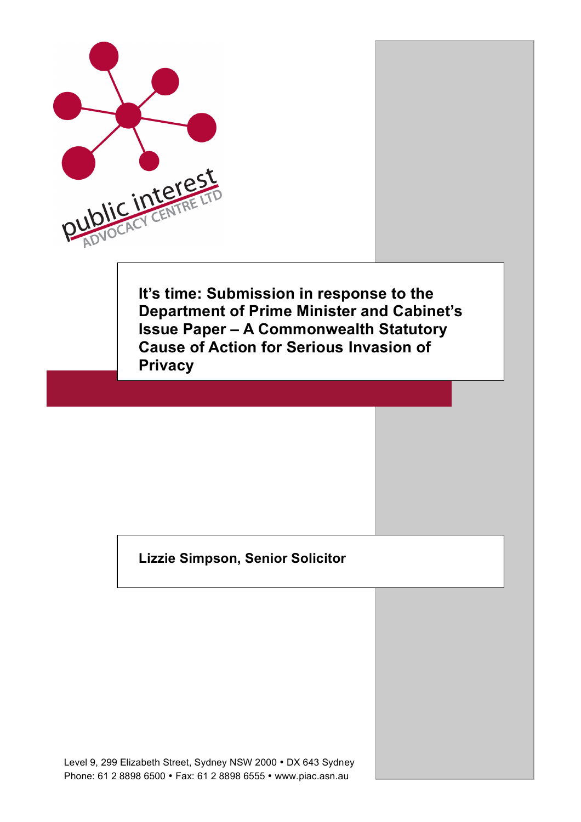

**It's time: Submission in response to the Department of Prime Minister and Cabinet's Issue Paper – A Commonwealth Statutory Cause of Action for Serious Invasion of Privacy**

# **Lizzie Simpson, Senior Solicitor**

Level 9, 299 Elizabeth Street, Sydney NSW 2000 • DX 643 Sydney Phone: 61 2 8898 6500 • Fax: 61 2 8898 6555 • www.piac.asn.au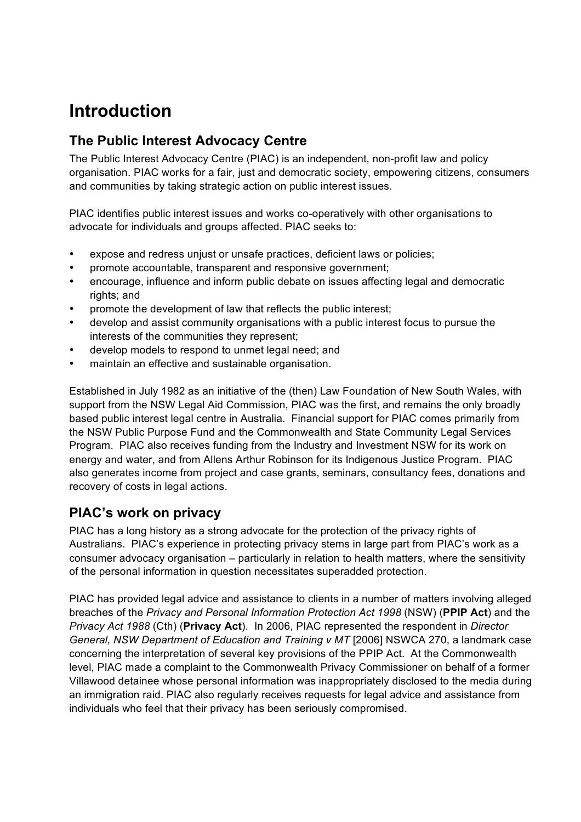# **Introduction**

## **The Public Interest Advocacy Centre**

The Public Interest Advocacy Centre (PIAC) is an independent, non-profit law and policy organisation. PIAC works for a fair, just and democratic society, empowering citizens, consumers and communities by taking strategic action on public interest issues.

PIAC identifies public interest issues and works co-operatively with other organisations to advocate for individuals and groups affected. PIAC seeks to:

- expose and redress unjust or unsafe practices, deficient laws or policies;
- promote accountable, transparent and responsive government;
- encourage, influence and inform public debate on issues affecting legal and democratic rights; and
- promote the development of law that reflects the public interest;
- develop and assist community organisations with a public interest focus to pursue the interests of the communities they represent;
- develop models to respond to unmet legal need; and
- maintain an effective and sustainable organisation.

Established in July 1982 as an initiative of the (then) Law Foundation of New South Wales, with support from the NSW Legal Aid Commission, PIAC was the first, and remains the only broadly based public interest legal centre in Australia. Financial support for PIAC comes primarily from the NSW Public Purpose Fund and the Commonwealth and State Community Legal Services Program. PIAC also receives funding from the Industry and Investment NSW for its work on energy and water, and from Allens Arthur Robinson for its Indigenous Justice Program. PIAC also generates income from project and case grants, seminars, consultancy fees, donations and recovery of costs in legal actions.

# **PIAC's work on privacy**

PIAC has a long history as a strong advocate for the protection of the privacy rights of Australians. PIAC's experience in protecting privacy stems in large part from PIAC's work as a consumer advocacy organisation – particularly in relation to health matters, where the sensitivity of the personal information in question necessitates superadded protection.

PIAC has provided legal advice and assistance to clients in a number of matters involving alleged breaches of the *Privacy and Personal Information Protection Act 1998* (NSW) (**PPIP Act**) and the *Privacy Act 1988* (Cth) (**Privacy Act**). In 2006, PIAC represented the respondent in *Director General, NSW Department of Education and Training v MT* [2006] NSWCA 270, a landmark case concerning the interpretation of several key provisions of the PPIP Act. At the Commonwealth level, PIAC made a complaint to the Commonwealth Privacy Commissioner on behalf of a former Villawood detainee whose personal information was inappropriately disclosed to the media during an immigration raid. PIAC also regularly receives requests for legal advice and assistance from individuals who feel that their privacy has been seriously compromised.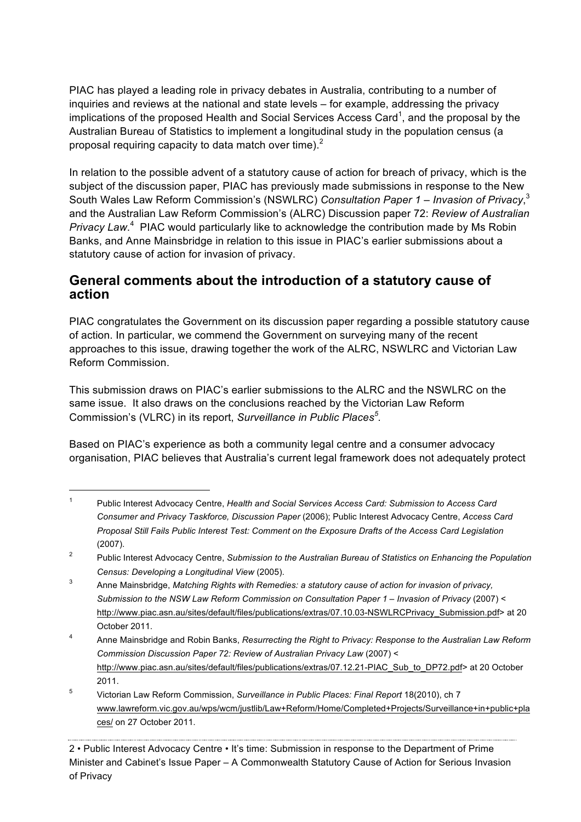PIAC has played a leading role in privacy debates in Australia, contributing to a number of inquiries and reviews at the national and state levels – for example, addressing the privacy implications of the proposed Health and Social Services Access Card<sup>1</sup>, and the proposal by the Australian Bureau of Statistics to implement a longitudinal study in the population census (a proposal requiring capacity to data match over time).<sup>2</sup>

In relation to the possible advent of a statutory cause of action for breach of privacy, which is the subject of the discussion paper, PIAC has previously made submissions in response to the New South Wales Law Reform Commission's (NSWLRC) *Consultation Paper 1 – Invasion of Privacy*, 3 and the Australian Law Reform Commission's (ALRC) Discussion paper 72: *Review of Australian*  Privacy Law.<sup>4</sup> PIAC would particularly like to acknowledge the contribution made by Ms Robin Banks, and Anne Mainsbridge in relation to this issue in PIAC's earlier submissions about a statutory cause of action for invasion of privacy.

### **General comments about the introduction of a statutory cause of action**

PIAC congratulates the Government on its discussion paper regarding a possible statutory cause of action. In particular, we commend the Government on surveying many of the recent approaches to this issue, drawing together the work of the ALRC, NSWLRC and Victorian Law Reform Commission.

This submission draws on PIAC's earlier submissions to the ALRC and the NSWLRC on the same issue. It also draws on the conclusions reached by the Victorian Law Reform Commission's (VLRC) in its report, *Surveillance in Public Places<sup>5</sup> .*

Based on PIAC's experience as both a community legal centre and a consumer advocacy organisation, PIAC believes that Australia's current legal framework does not adequately protect

 <sup>1</sup> Public Interest Advocacy Centre, *Health and Social Services Access Card: Submission to Access Card Consumer and Privacy Taskforce, Discussion Paper* (2006); Public Interest Advocacy Centre, *Access Card Proposal Still Fails Public Interest Test: Comment on the Exposure Drafts of the Access Card Legislation* (2007).

<sup>2</sup> Public Interest Advocacy Centre, *Submission to the Australian Bureau of Statistics on Enhancing the Population Census: Developing a Longitudinal View* (2005).

<sup>3</sup> Anne Mainsbridge, *Matching Rights with Remedies: a statutory cause of action for invasion of privacy, Submission to the NSW Law Reform Commission on Consultation Paper 1 – Invasion of Privacy* (2007) < http://www.piac.asn.au/sites/default/files/publications/extras/07.10.03-NSWLRCPrivacy\_Submission.pdf> at 20 October 2011.

<sup>4</sup> Anne Mainsbridge and Robin Banks, *Resurrecting the Right to Privacy: Response to the Australian Law Reform Commission Discussion Paper 72: Review of Australian Privacy Law* (2007) < http://www.piac.asn.au/sites/default/files/publications/extras/07.12.21-PIAC\_Sub\_to\_DP72.pdf> at 20 October 2011.

<sup>5</sup> Victorian Law Reform Commission, *Surveillance in Public Places: Final Report* 18(2010), ch 7 www.lawreform.vic.gov.au/wps/wcm/justlib/Law+Reform/Home/Completed+Projects/Surveillance+in+public+pla ces/ on 27 October 2011.

<sup>2</sup> • Public Interest Advocacy Centre • It's time: Submission in response to the Department of Prime

Minister and Cabinet's Issue Paper – A Commonwealth Statutory Cause of Action for Serious Invasion of Privacy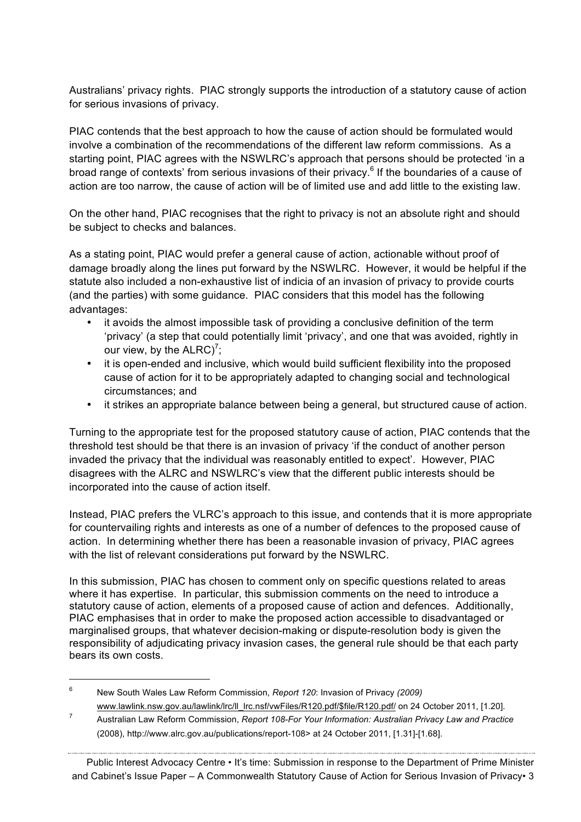Australians' privacy rights. PIAC strongly supports the introduction of a statutory cause of action for serious invasions of privacy.

PIAC contends that the best approach to how the cause of action should be formulated would involve a combination of the recommendations of the different law reform commissions. As a starting point, PIAC agrees with the NSWLRC's approach that persons should be protected 'in a broad range of contexts' from serious invasions of their privacy.<sup>6</sup> If the boundaries of a cause of action are too narrow, the cause of action will be of limited use and add little to the existing law.

On the other hand, PIAC recognises that the right to privacy is not an absolute right and should be subject to checks and balances.

As a stating point, PIAC would prefer a general cause of action, actionable without proof of damage broadly along the lines put forward by the NSWLRC. However, it would be helpful if the statute also included a non-exhaustive list of indicia of an invasion of privacy to provide courts (and the parties) with some guidance. PIAC considers that this model has the following advantages:

- it avoids the almost impossible task of providing a conclusive definition of the term 'privacy' (a step that could potentially limit 'privacy', and one that was avoided, rightly in our view, by the ALRC)<sup>7</sup>;
- it is open-ended and inclusive, which would build sufficient flexibility into the proposed cause of action for it to be appropriately adapted to changing social and technological circumstances; and
- it strikes an appropriate balance between being a general, but structured cause of action.

Turning to the appropriate test for the proposed statutory cause of action, PIAC contends that the threshold test should be that there is an invasion of privacy 'if the conduct of another person invaded the privacy that the individual was reasonably entitled to expect'. However, PIAC disagrees with the ALRC and NSWLRC's view that the different public interests should be incorporated into the cause of action itself.

Instead, PIAC prefers the VLRC's approach to this issue, and contends that it is more appropriate for countervailing rights and interests as one of a number of defences to the proposed cause of action. In determining whether there has been a reasonable invasion of privacy, PIAC agrees with the list of relevant considerations put forward by the NSWLRC.

In this submission, PIAC has chosen to comment only on specific questions related to areas where it has expertise. In particular, this submission comments on the need to introduce a statutory cause of action, elements of a proposed cause of action and defences. Additionally, PIAC emphasises that in order to make the proposed action accessible to disadvantaged or marginalised groups, that whatever decision-making or dispute-resolution body is given the responsibility of adjudicating privacy invasion cases, the general rule should be that each party bears its own costs.

 <sup>6</sup> New South Wales Law Reform Commission, *Report 120*: Invasion of Privacy *(2009)* 

www.lawlink.nsw.gov.au/lawlink/lrc/ll\_lrc.nsf/vwFiles/R120.pdf/\$file/R120.pdf/ on 24 October 2011, [1.20].

<sup>7</sup> Australian Law Reform Commission, *Report 108-For Your Information: Australian Privacy Law and Practice* (2008), http://www.alrc.gov.au/publications/report-108> at 24 October 2011, [1.31]-[1.68].

Public Interest Advocacy Centre • It's time: Submission in response to the Department of Prime Minister and Cabinet's Issue Paper – A Commonwealth Statutory Cause of Action for Serious Invasion of Privacy• 3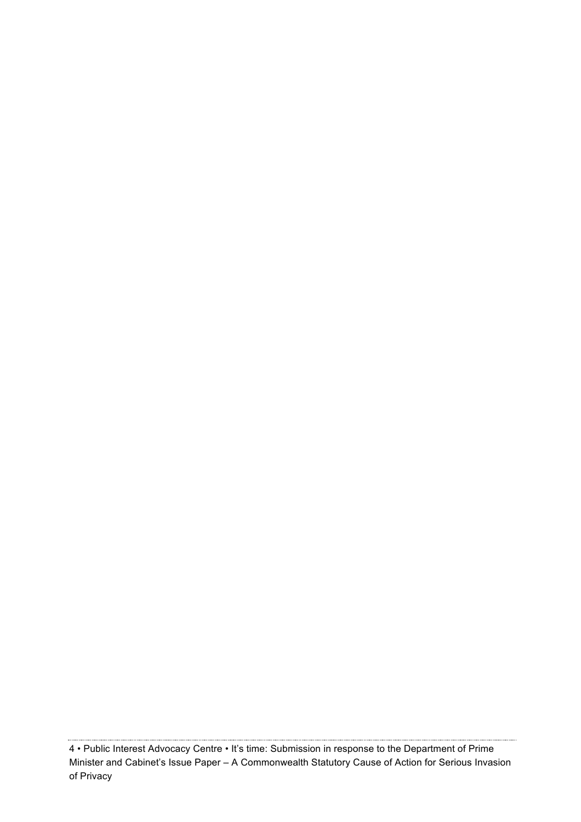......... 4 • Public Interest Advocacy Centre • It's time: Submission in response to the Department of Prime Minister and Cabinet's Issue Paper – A Commonwealth Statutory Cause of Action for Serious Invasion of Privacy

. . . . . . . . . . . . .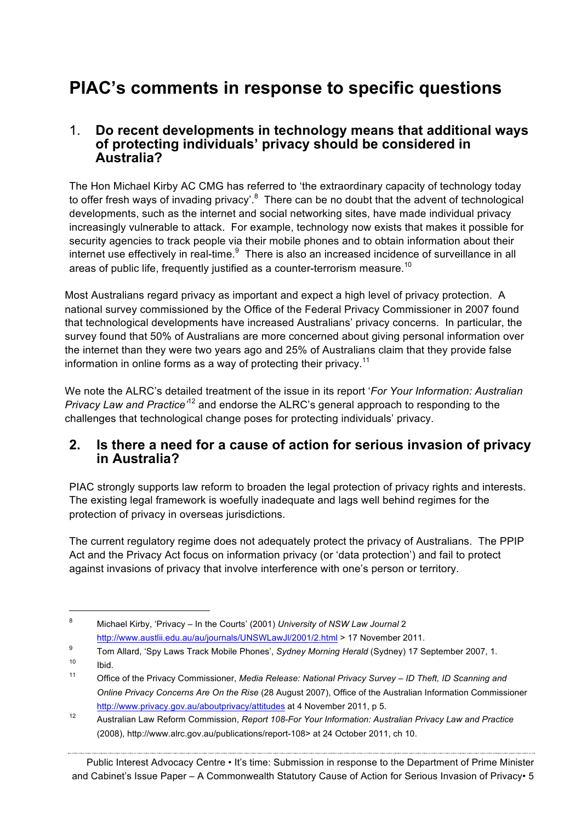# **PIAC's comments in response to specific questions**

### 1. **Do recent developments in technology means that additional ways of protecting individuals' privacy should be considered in Australia?**

The Hon Michael Kirby AC CMG has referred to 'the extraordinary capacity of technology today to offer fresh ways of invading privacy'.<sup>8</sup> There can be no doubt that the advent of technological developments, such as the internet and social networking sites, have made individual privacy increasingly vulnerable to attack. For example, technology now exists that makes it possible for security agencies to track people via their mobile phones and to obtain information about their internet use effectively in real-time.<sup>9</sup> There is also an increased incidence of surveillance in all areas of public life, frequently justified as a counter-terrorism measure.<sup>10</sup>

Most Australians regard privacy as important and expect a high level of privacy protection. A national survey commissioned by the Office of the Federal Privacy Commissioner in 2007 found that technological developments have increased Australians' privacy concerns. In particular, the survey found that 50% of Australians are more concerned about giving personal information over the internet than they were two years ago and 25% of Australians claim that they provide false information in online forms as a way of protecting their privacy.<sup>11</sup>

We note the ALRC's detailed treatment of the issue in its report '*For Your Information: Australian*  Privacy Law and Practice<sup>-12</sup> and endorse the ALRC's general approach to responding to the challenges that technological change poses for protecting individuals' privacy.

### **2. Is there a need for a cause of action for serious invasion of privacy in Australia?**

PIAC strongly supports law reform to broaden the legal protection of privacy rights and interests. The existing legal framework is woefully inadequate and lags well behind regimes for the protection of privacy in overseas jurisdictions.

The current regulatory regime does not adequately protect the privacy of Australians. The PPIP Act and the Privacy Act focus on information privacy (or 'data protection') and fail to protect against invasions of privacy that involve interference with one's person or territory.

- <sup>9</sup> Tom Allard, 'Spy Laws Track Mobile Phones', *Sydney Morning Herald* (Sydney) 17 September 2007, 1.
- $10$  Ibid.

 <sup>8</sup> Michael Kirby, 'Privacy – In the Courts' (2001) *University of NSW Law Journal* <sup>2</sup> http://www.austlii.edu.au/au/journals/UNSWLawJl/2001/2.html > 17 November 2011.

<sup>11</sup> Office of the Privacy Commissioner, *Media Release: National Privacy Survey – ID Theft, ID Scanning and Online Privacy Concerns Are On the Rise* (28 August 2007), Office of the Australian Information Commissioner http://www.privacy.gov.au/aboutprivacy/attitudes at 4 November 2011, p 5.

<sup>12</sup> Australian Law Reform Commission, *Report 108-For Your Information: Australian Privacy Law and Practice* (2008), http://www.alrc.gov.au/publications/report-108> at 24 October 2011, ch 10.

Public Interest Advocacy Centre • It's time: Submission in response to the Department of Prime Minister and Cabinet's Issue Paper – A Commonwealth Statutory Cause of Action for Serious Invasion of Privacy• 5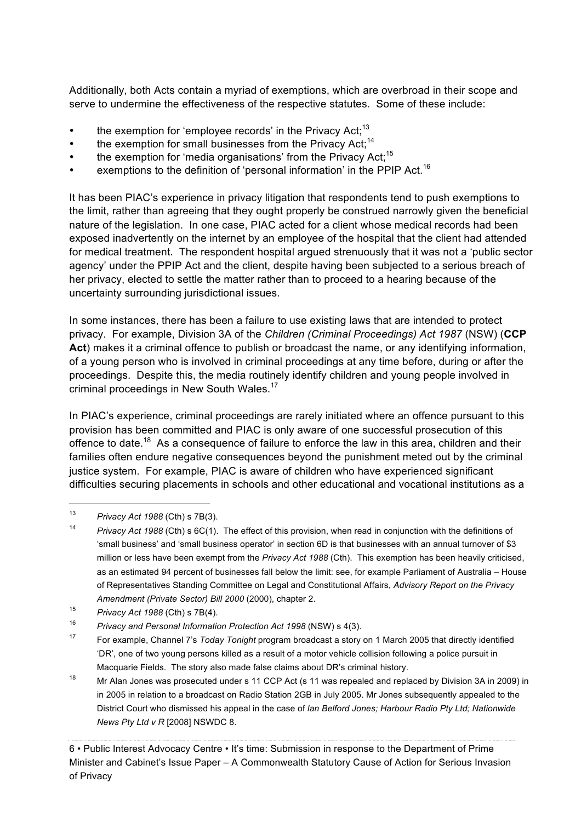Additionally, both Acts contain a myriad of exemptions, which are overbroad in their scope and serve to undermine the effectiveness of the respective statutes. Some of these include:

- the exemption for 'employee records' in the Privacy Act;<sup>13</sup>
- the exemption for small businesses from the Privacy Act;<sup>14</sup>
- the exemption for 'media organisations' from the Privacy Act;<sup>15</sup>
- exemptions to the definition of 'personal information' in the PPIP Act.<sup>16</sup>

It has been PIAC's experience in privacy litigation that respondents tend to push exemptions to the limit, rather than agreeing that they ought properly be construed narrowly given the beneficial nature of the legislation. In one case, PIAC acted for a client whose medical records had been exposed inadvertently on the internet by an employee of the hospital that the client had attended for medical treatment. The respondent hospital argued strenuously that it was not a 'public sector agency' under the PPIP Act and the client, despite having been subjected to a serious breach of her privacy, elected to settle the matter rather than to proceed to a hearing because of the uncertainty surrounding jurisdictional issues.

In some instances, there has been a failure to use existing laws that are intended to protect privacy. For example, Division 3A of the *Children (Criminal Proceedings) Act 1987* (NSW) (**CCP Act**) makes it a criminal offence to publish or broadcast the name, or any identifying information, of a young person who is involved in criminal proceedings at any time before, during or after the proceedings. Despite this, the media routinely identify children and young people involved in criminal proceedings in New South Wales.<sup>17</sup>

In PIAC's experience, criminal proceedings are rarely initiated where an offence pursuant to this provision has been committed and PIAC is only aware of one successful prosecution of this offence to date.<sup>18</sup> As a consequence of failure to enforce the law in this area, children and their families often endure negative consequences beyond the punishment meted out by the criminal justice system. For example, PIAC is aware of children who have experienced significant difficulties securing placements in schools and other educational and vocational institutions as a

 <sup>13</sup> *Privacy Act 1988* (Cth) s 7B(3).

<sup>14</sup> *Privacy Act 1988* (Cth) s 6C(1). The effect of this provision, when read in conjunction with the definitions of 'small business' and 'small business operator' in section 6D is that businesses with an annual turnover of \$3 million or less have been exempt from the *Privacy Act 1988* (Cth). This exemption has been heavily criticised, as an estimated 94 percent of businesses fall below the limit: see, for example Parliament of Australia – House of Representatives Standing Committee on Legal and Constitutional Affairs, *Advisory Report on the Privacy Amendment (Private Sector) Bill 2000* (2000), chapter 2.

<sup>15</sup> *Privacy Act 1988* (Cth) s 7B(4).

<sup>16</sup> *Privacy and Personal Information Protection Act 1998* (NSW) s 4(3).

<sup>17</sup> For example, Channel 7's *Today Tonight* program broadcast a story on 1 March 2005 that directly identified 'DR', one of two young persons killed as a result of a motor vehicle collision following a police pursuit in Macquarie Fields. The story also made false claims about DR's criminal history.

<sup>&</sup>lt;sup>18</sup> Mr Alan Jones was prosecuted under s 11 CCP Act (s 11 was repealed and replaced by Division 3A in 2009) in in 2005 in relation to a broadcast on Radio Station 2GB in July 2005. Mr Jones subsequently appealed to the District Court who dismissed his appeal in the case of *lan Belford Jones; Harbour Radio Pty Ltd; Nationwide News Pty Ltd v R* [2008] NSWDC 8.

<sup>6</sup> • Public Interest Advocacy Centre • It's time: Submission in response to the Department of Prime Minister and Cabinet's Issue Paper – A Commonwealth Statutory Cause of Action for Serious Invasion of Privacy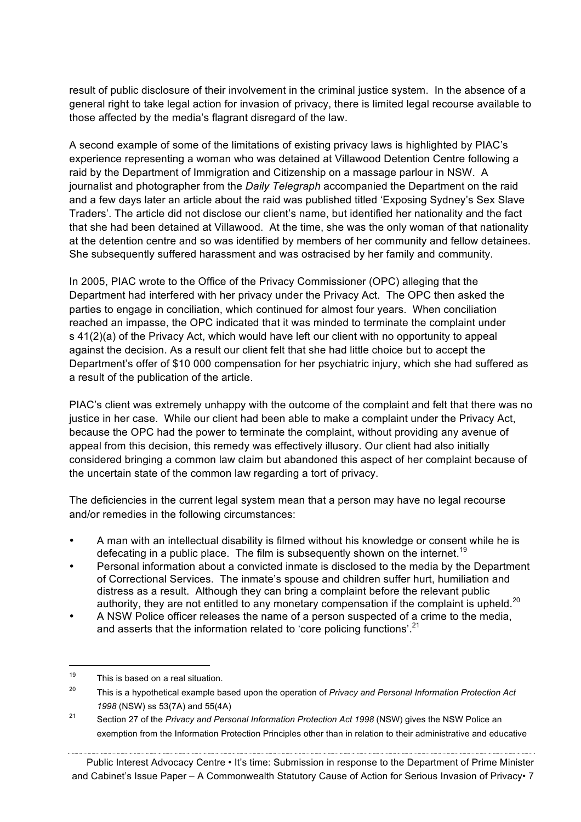result of public disclosure of their involvement in the criminal justice system. In the absence of a general right to take legal action for invasion of privacy, there is limited legal recourse available to those affected by the media's flagrant disregard of the law.

A second example of some of the limitations of existing privacy laws is highlighted by PIAC's experience representing a woman who was detained at Villawood Detention Centre following a raid by the Department of Immigration and Citizenship on a massage parlour in NSW. A journalist and photographer from the *Daily Telegraph* accompanied the Department on the raid and a few days later an article about the raid was published titled 'Exposing Sydney's Sex Slave Traders'. The article did not disclose our client's name, but identified her nationality and the fact that she had been detained at Villawood. At the time, she was the only woman of that nationality at the detention centre and so was identified by members of her community and fellow detainees. She subsequently suffered harassment and was ostracised by her family and community.

In 2005, PIAC wrote to the Office of the Privacy Commissioner (OPC) alleging that the Department had interfered with her privacy under the Privacy Act. The OPC then asked the parties to engage in conciliation, which continued for almost four years. When conciliation reached an impasse, the OPC indicated that it was minded to terminate the complaint under s 41(2)(a) of the Privacy Act, which would have left our client with no opportunity to appeal against the decision. As a result our client felt that she had little choice but to accept the Department's offer of \$10 000 compensation for her psychiatric injury, which she had suffered as a result of the publication of the article.

PIAC's client was extremely unhappy with the outcome of the complaint and felt that there was no justice in her case. While our client had been able to make a complaint under the Privacy Act, because the OPC had the power to terminate the complaint, without providing any avenue of appeal from this decision, this remedy was effectively illusory. Our client had also initially considered bringing a common law claim but abandoned this aspect of her complaint because of the uncertain state of the common law regarding a tort of privacy.

The deficiencies in the current legal system mean that a person may have no legal recourse and/or remedies in the following circumstances:

- A man with an intellectual disability is filmed without his knowledge or consent while he is defecating in a public place. The film is subsequently shown on the internet.<sup>19</sup>
- Personal information about a convicted inmate is disclosed to the media by the Department of Correctional Services. The inmate's spouse and children suffer hurt, humiliation and distress as a result. Although they can bring a complaint before the relevant public authority, they are not entitled to any monetary compensation if the complaint is upheld.<sup>20</sup>
- A NSW Police officer releases the name of a person suspected of a crime to the media, and asserts that the information related to 'core policing functions'.<sup>21</sup>

<sup>&</sup>lt;sup>19</sup> This is based on a real situation.

<sup>20</sup> This is a hypothetical example based upon the operation of *Privacy and Personal Information Protection Act 1998* (NSW) ss 53(7A) and 55(4A)

<sup>21</sup> Section 27 of the *Privacy and Personal Information Protection Act 1998* (NSW) gives the NSW Police an exemption from the Information Protection Principles other than in relation to their administrative and educative

Public Interest Advocacy Centre • It's time: Submission in response to the Department of Prime Minister and Cabinet's Issue Paper – A Commonwealth Statutory Cause of Action for Serious Invasion of Privacy• 7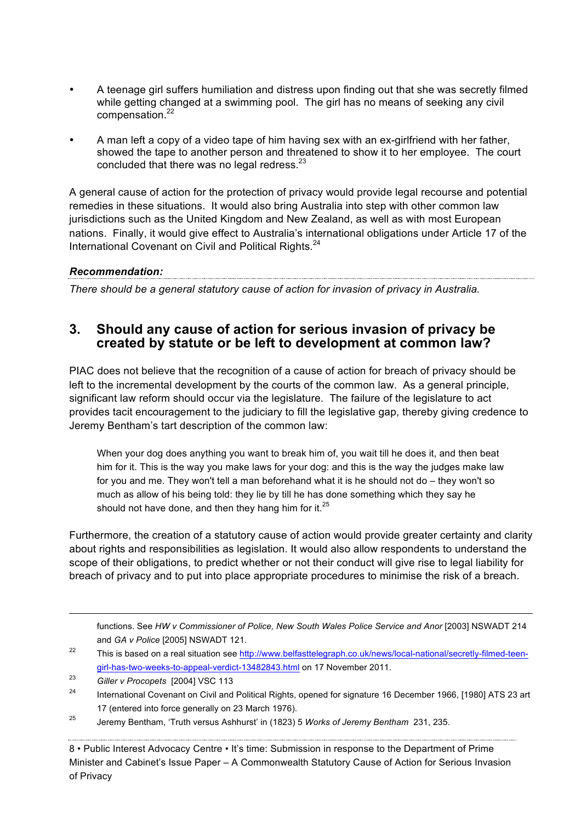- A teenage girl suffers humiliation and distress upon finding out that she was secretly filmed while getting changed at a swimming pool. The girl has no means of seeking any civil compensation.<sup>22</sup>
- A man left a copy of a video tape of him having sex with an ex-girlfriend with her father, showed the tape to another person and threatened to show it to her employee. The court concluded that there was no legal redress. $^{23}$

A general cause of action for the protection of privacy would provide legal recourse and potential remedies in these situations. It would also bring Australia into step with other common law jurisdictions such as the United Kingdom and New Zealand, as well as with most European nations. Finally, it would give effect to Australia's international obligations under Article 17 of the International Covenant on Civil and Political Rights.<sup>24</sup>

### *Recommendation:*

*There should be a general statutory cause of action for invasion of privacy in Australia.*

### **3. Should any cause of action for serious invasion of privacy be created by statute or be left to development at common law?**

PIAC does not believe that the recognition of a cause of action for breach of privacy should be left to the incremental development by the courts of the common law. As a general principle, significant law reform should occur via the legislature. The failure of the legislature to act provides tacit encouragement to the judiciary to fill the legislative gap, thereby giving credence to Jeremy Bentham's tart description of the common law:

When your dog does anything you want to break him of, you wait till he does it, and then beat him for it. This is the way you make laws for your dog: and this is the way the judges make law for you and me. They won't tell a man beforehand what it is he should not do – they won't so much as allow of his being told: they lie by till he has done something which they say he should not have done, and then they hang him for it. $25$ 

Furthermore, the creation of a statutory cause of action would provide greater certainty and clarity about rights and responsibilities as legislation. It would also allow respondents to understand the scope of their obligations, to predict whether or not their conduct will give rise to legal liability for breach of privacy and to put into place appropriate procedures to minimise the risk of a breach.

functions. See HW v Commissioner of Police, New South Wales Police Service and Anor [2003] NSWADT 214 and *GA v Police* [2005] NSWADT 121.

<sup>22</sup> This is based on a real situation see http://www.belfasttelegraph.co.uk/news/local-national/secretly-filmed-teengirl-has-two-weeks-to-appeal-verdict-13482843.html on 17 November 2011.

<sup>25</sup> Jeremy Bentham, 'Truth versus Ashhurst' in (1823) 5 *Works of Jeremy Bentham* 231, 235.

8 • Public Interest Advocacy Centre • It's time: Submission in response to the Department of Prime

Minister and Cabinet's Issue Paper – A Commonwealth Statutory Cause of Action for Serious Invasion of Privacy

<sup>23</sup> *Giller v Procopets* [2004] VSC 113

<sup>&</sup>lt;sup>24</sup> International Covenant on Civil and Political Rights, opened for signature 16 December 1966, [1980] ATS 23 art 17 (entered into force generally on 23 March 1976).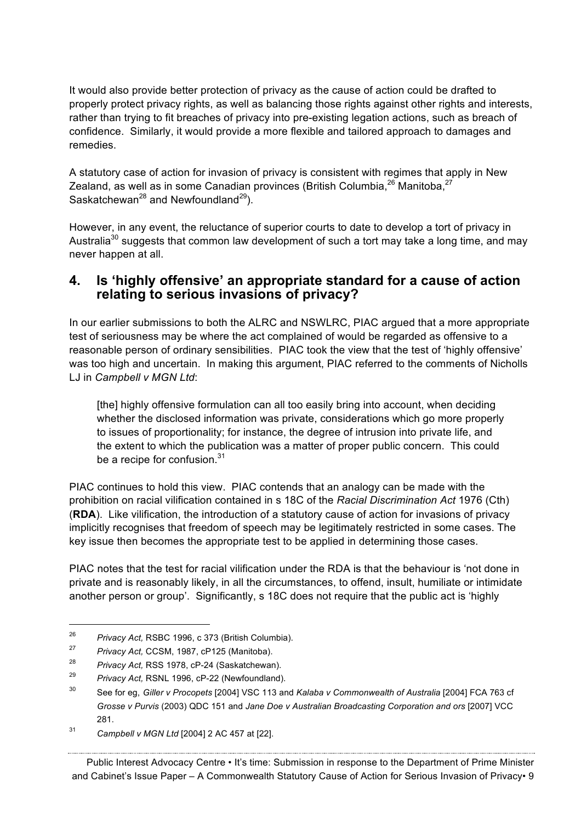It would also provide better protection of privacy as the cause of action could be drafted to properly protect privacy rights, as well as balancing those rights against other rights and interests, rather than trying to fit breaches of privacy into pre-existing legation actions, such as breach of confidence. Similarly, it would provide a more flexible and tailored approach to damages and remedies.

A statutory case of action for invasion of privacy is consistent with regimes that apply in New Zealand, as well as in some Canadian provinces (British Columbia, $^{26}$  Manitoba, $^{27}$ Saskatchewan<sup>28</sup> and Newfoundland<sup>29</sup>).

However, in any event, the reluctance of superior courts to date to develop a tort of privacy in Australia<sup>30</sup> suggests that common law development of such a tort may take a long time, and may never happen at all.

### **4. Is 'highly offensive' an appropriate standard for a cause of action relating to serious invasions of privacy?**

In our earlier submissions to both the ALRC and NSWLRC, PIAC argued that a more appropriate test of seriousness may be where the act complained of would be regarded as offensive to a reasonable person of ordinary sensibilities. PIAC took the view that the test of 'highly offensive' was too high and uncertain. In making this argument, PIAC referred to the comments of Nicholls LJ in *Campbell v MGN Ltd*:

[the] highly offensive formulation can all too easily bring into account, when deciding whether the disclosed information was private, considerations which go more properly to issues of proportionality; for instance, the degree of intrusion into private life, and the extent to which the publication was a matter of proper public concern. This could be a recipe for confusion.<sup>31</sup>

PIAC continues to hold this view. PIAC contends that an analogy can be made with the prohibition on racial vilification contained in s 18C of the *Racial Discrimination Act* 1976 (Cth) (**RDA**). Like vilification, the introduction of a statutory cause of action for invasions of privacy implicitly recognises that freedom of speech may be legitimately restricted in some cases. The key issue then becomes the appropriate test to be applied in determining those cases.

PIAC notes that the test for racial vilification under the RDA is that the behaviour is 'not done in private and is reasonably likely, in all the circumstances, to offend, insult, humiliate or intimidate another person or group'. Significantly, s 18C does not require that the public act is 'highly

 <sup>26</sup> *Privacy Act,* RSBC 1996, c 373 (British Columbia).

<sup>27</sup> *Privacy Act,* CCSM, 1987, cP125 (Manitoba).

<sup>28</sup> *Privacy Act,* RSS 1978, cP-24 (Saskatchewan).

<sup>29</sup> *Privacy Act,* RSNL 1996, cP-22 (Newfoundland).

<sup>30</sup> See for eg, *Giller v Procopets* [2004] VSC 113 and *Kalaba v Commonwealth of Australia* [2004] FCA 763 cf *Grosse v Purvis* (2003) QDC 151 and *Jane Doe v Australian Broadcasting Corporation and ors* [2007] VCC 281.

<sup>31</sup> *Campbell v MGN Ltd* [2004] 2 AC 457 at [22].

Public Interest Advocacy Centre • It's time: Submission in response to the Department of Prime Minister and Cabinet's Issue Paper – A Commonwealth Statutory Cause of Action for Serious Invasion of Privacy• 9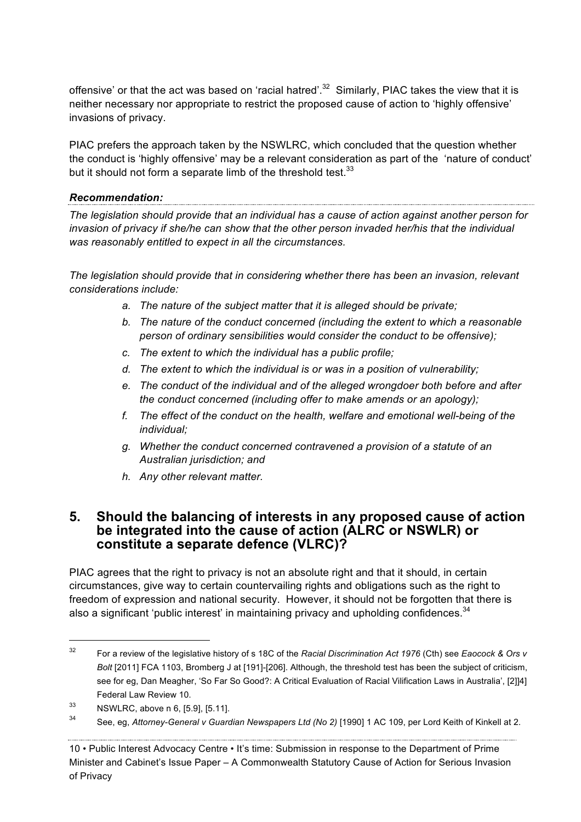offensive' or that the act was based on 'racial hatred'.<sup>32</sup> Similarly, PIAC takes the view that it is neither necessary nor appropriate to restrict the proposed cause of action to 'highly offensive' invasions of privacy.

PIAC prefers the approach taken by the NSWLRC, which concluded that the question whether the conduct is 'highly offensive' may be a relevant consideration as part of the 'nature of conduct' but it should not form a separate limb of the threshold test.<sup>33</sup>

### *Recommendation:*

*The legislation should provide that an individual has a cause of action against another person for invasion of privacy if she/he can show that the other person invaded her/his that the individual was reasonably entitled to expect in all the circumstances.*

*The legislation should provide that in considering whether there has been an invasion, relevant considerations include:*

- *a. The nature of the subject matter that it is alleged should be private;*
- *b. The nature of the conduct concerned (including the extent to which a reasonable person of ordinary sensibilities would consider the conduct to be offensive);*
- *c. The extent to which the individual has a public profile;*
- *d. The extent to which the individual is or was in a position of vulnerability;*
- *e. The conduct of the individual and of the alleged wrongdoer both before and after the conduct concerned (including offer to make amends or an apology);*
- *f. The effect of the conduct on the health, welfare and emotional well-being of the individual;*
- *g. Whether the conduct concerned contravened a provision of a statute of an Australian jurisdiction; and*
- *h. Any other relevant matter.*

### **5. Should the balancing of interests in any proposed cause of action be integrated into the cause of action (ALRC or NSWLR) or constitute a separate defence (VLRC)?**

PIAC agrees that the right to privacy is not an absolute right and that it should, in certain circumstances, give way to certain countervailing rights and obligations such as the right to freedom of expression and national security. However, it should not be forgotten that there is also a significant 'public interest' in maintaining privacy and upholding confidences.<sup>34</sup>

10 • Public Interest Advocacy Centre • It's time: Submission in response to the Department of Prime

Minister and Cabinet's Issue Paper – A Commonwealth Statutory Cause of Action for Serious Invasion of Privacy

 <sup>32</sup> For a review of the legislative history of s 18C of the *Racial Discrimination Act 1976* (Cth) see *Eaocock & Ors v Bolt* [2011] FCA 1103, Bromberg J at [191]-[206]. Although, the threshold test has been the subject of criticism, see for eg, Dan Meagher, 'So Far So Good?: A Critical Evaluation of Racial Vilification Laws in Australia', [2]]4] Federal Law Review 10.

<sup>33</sup> NSWLRC, above n 6, [5.9], [5.11].

<sup>34</sup> See, eg, *Attorney-General v Guardian Newspapers Ltd (No 2)* [1990] 1 AC 109, per Lord Keith of Kinkell at 2.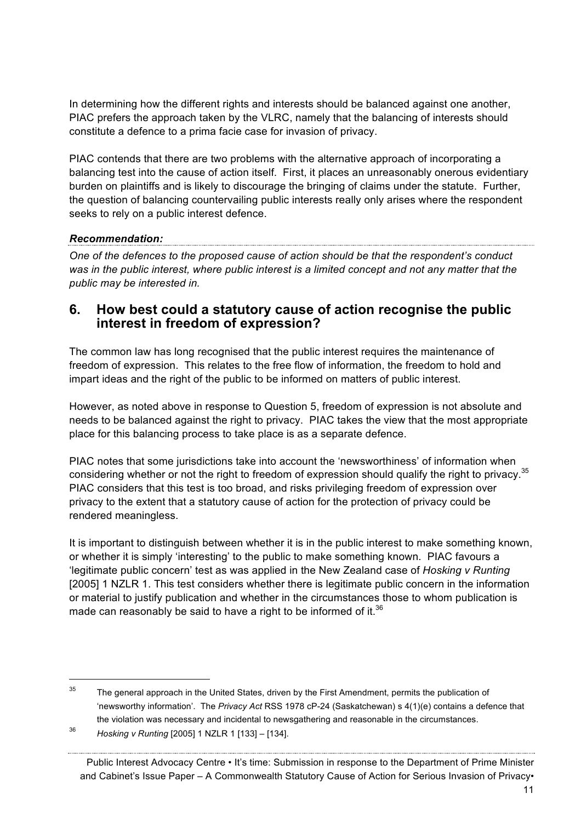In determining how the different rights and interests should be balanced against one another. PIAC prefers the approach taken by the VLRC, namely that the balancing of interests should constitute a defence to a prima facie case for invasion of privacy.

PIAC contends that there are two problems with the alternative approach of incorporating a balancing test into the cause of action itself. First, it places an unreasonably onerous evidentiary burden on plaintiffs and is likely to discourage the bringing of claims under the statute. Further, the question of balancing countervailing public interests really only arises where the respondent seeks to rely on a public interest defence.

### *Recommendation:*

*One of the defences to the proposed cause of action should be that the respondent's conduct was in the public interest, where public interest is a limited concept and not any matter that the public may be interested in.*

### **6. How best could a statutory cause of action recognise the public interest in freedom of expression?**

The common law has long recognised that the public interest requires the maintenance of freedom of expression. This relates to the free flow of information, the freedom to hold and impart ideas and the right of the public to be informed on matters of public interest.

However, as noted above in response to Question 5, freedom of expression is not absolute and needs to be balanced against the right to privacy. PIAC takes the view that the most appropriate place for this balancing process to take place is as a separate defence.

PIAC notes that some jurisdictions take into account the 'newsworthiness' of information when considering whether or not the right to freedom of expression should qualify the right to privacy.<sup>35</sup> PIAC considers that this test is too broad, and risks privileging freedom of expression over privacy to the extent that a statutory cause of action for the protection of privacy could be rendered meaningless.

It is important to distinguish between whether it is in the public interest to make something known, or whether it is simply 'interesting' to the public to make something known. PIAC favours a 'legitimate public concern' test as was applied in the New Zealand case of *Hosking v Runting* [2005] 1 NZLR 1. This test considers whether there is legitimate public concern in the information or material to justify publication and whether in the circumstances those to whom publication is made can reasonably be said to have a right to be informed of it. $36$ 

<sup>&</sup>lt;sup>35</sup> The general approach in the United States, driven by the First Amendment, permits the publication of 'newsworthy information'. The *Privacy Act* RSS 1978 cP-24 (Saskatchewan) s 4(1)(e) contains a defence that the violation was necessary and incidental to newsgathering and reasonable in the circumstances.

<sup>36</sup> *Hosking v Runting* [2005] 1 NZLR 1 [133] – [134].

Public Interest Advocacy Centre • It's time: Submission in response to the Department of Prime Minister and Cabinet's Issue Paper – A Commonwealth Statutory Cause of Action for Serious Invasion of Privacy•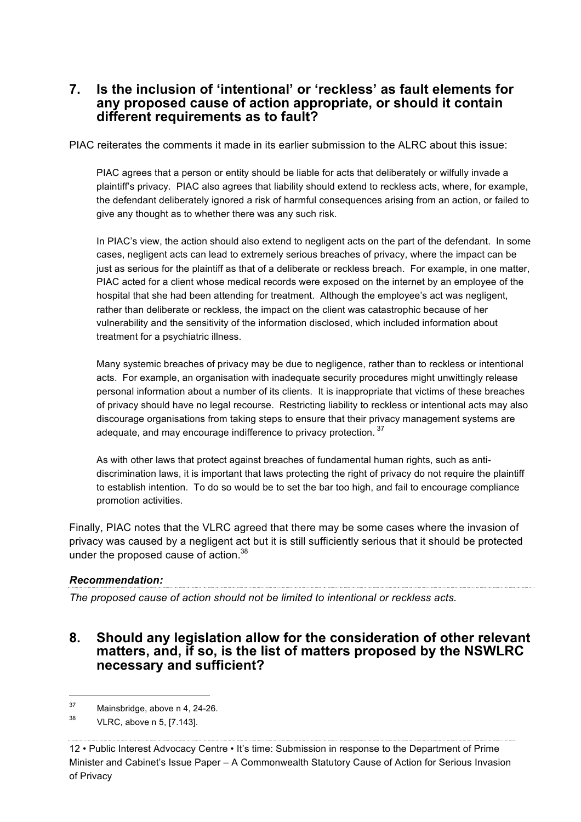### **7. Is the inclusion of 'intentional' or 'reckless' as fault elements for any proposed cause of action appropriate, or should it contain different requirements as to fault?**

PIAC reiterates the comments it made in its earlier submission to the ALRC about this issue:

PIAC agrees that a person or entity should be liable for acts that deliberately or wilfully invade a plaintiff's privacy. PIAC also agrees that liability should extend to reckless acts, where, for example, the defendant deliberately ignored a risk of harmful consequences arising from an action, or failed to give any thought as to whether there was any such risk.

In PIAC's view, the action should also extend to negligent acts on the part of the defendant. In some cases, negligent acts can lead to extremely serious breaches of privacy, where the impact can be just as serious for the plaintiff as that of a deliberate or reckless breach. For example, in one matter, PIAC acted for a client whose medical records were exposed on the internet by an employee of the hospital that she had been attending for treatment. Although the employee's act was negligent, rather than deliberate or reckless, the impact on the client was catastrophic because of her vulnerability and the sensitivity of the information disclosed, which included information about treatment for a psychiatric illness.

Many systemic breaches of privacy may be due to negligence, rather than to reckless or intentional acts. For example, an organisation with inadequate security procedures might unwittingly release personal information about a number of its clients. It is inappropriate that victims of these breaches of privacy should have no legal recourse. Restricting liability to reckless or intentional acts may also discourage organisations from taking steps to ensure that their privacy management systems are adequate, and may encourage indifference to privacy protection. <sup>37</sup>

As with other laws that protect against breaches of fundamental human rights, such as antidiscrimination laws, it is important that laws protecting the right of privacy do not require the plaintiff to establish intention. To do so would be to set the bar too high, and fail to encourage compliance promotion activities.

Finally, PIAC notes that the VLRC agreed that there may be some cases where the invasion of privacy was caused by a negligent act but it is still sufficiently serious that it should be protected under the proposed cause of action.<sup>38</sup>

### *Recommendation:*

*The proposed cause of action should not be limited to intentional or reckless acts.*

**8. Should any legislation allow for the consideration of other relevant matters, and, if so, is the list of matters proposed by the NSWLRC necessary and sufficient?**

 <sup>37</sup> Mainsbridge, above n 4, 24-26.

<sup>38</sup> VLRC, above n 5, [7.143].

<sup>12</sup> • Public Interest Advocacy Centre • It's time: Submission in response to the Department of Prime Minister and Cabinet's Issue Paper – A Commonwealth Statutory Cause of Action for Serious Invasion of Privacy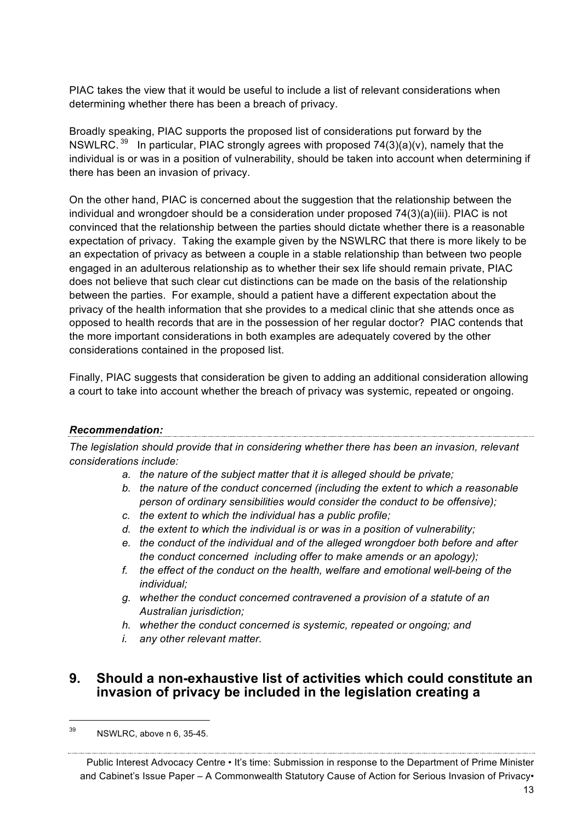PIAC takes the view that it would be useful to include a list of relevant considerations when determining whether there has been a breach of privacy.

Broadly speaking, PIAC supports the proposed list of considerations put forward by the NSWLRC.  $39$  In particular, PIAC strongly agrees with proposed 74(3)(a)(y), namely that the individual is or was in a position of vulnerability, should be taken into account when determining if there has been an invasion of privacy.

On the other hand, PIAC is concerned about the suggestion that the relationship between the individual and wrongdoer should be a consideration under proposed 74(3)(a)(iii). PIAC is not convinced that the relationship between the parties should dictate whether there is a reasonable expectation of privacy. Taking the example given by the NSWLRC that there is more likely to be an expectation of privacy as between a couple in a stable relationship than between two people engaged in an adulterous relationship as to whether their sex life should remain private, PIAC does not believe that such clear cut distinctions can be made on the basis of the relationship between the parties. For example, should a patient have a different expectation about the privacy of the health information that she provides to a medical clinic that she attends once as opposed to health records that are in the possession of her regular doctor? PIAC contends that the more important considerations in both examples are adequately covered by the other considerations contained in the proposed list.

Finally, PIAC suggests that consideration be given to adding an additional consideration allowing a court to take into account whether the breach of privacy was systemic, repeated or ongoing.

*Recommendation: The legislation should provide that in considering whether there has been an invasion, relevant considerations include:*

- *a. the nature of the subject matter that it is alleged should be private;*
- *b. the nature of the conduct concerned (including the extent to which a reasonable person of ordinary sensibilities would consider the conduct to be offensive);*
- *c. the extent to which the individual has a public profile;*
- *d. the extent to which the individual is or was in a position of vulnerability;*
- *e. the conduct of the individual and of the alleged wrongdoer both before and after the conduct concerned including offer to make amends or an apology);*
- *f. the effect of the conduct on the health, welfare and emotional well-being of the individual;*
- *g. whether the conduct concerned contravened a provision of a statute of an Australian jurisdiction;*
- *h. whether the conduct concerned is systemic, repeated or ongoing; and*
- *i. any other relevant matter.*

### **9. Should a non-exhaustive list of activities which could constitute an invasion of privacy be included in the legislation creating a**

 $39$  NSWLRC, above n 6, 35-45.

Public Interest Advocacy Centre • It's time: Submission in response to the Department of Prime Minister and Cabinet's Issue Paper – A Commonwealth Statutory Cause of Action for Serious Invasion of Privacy•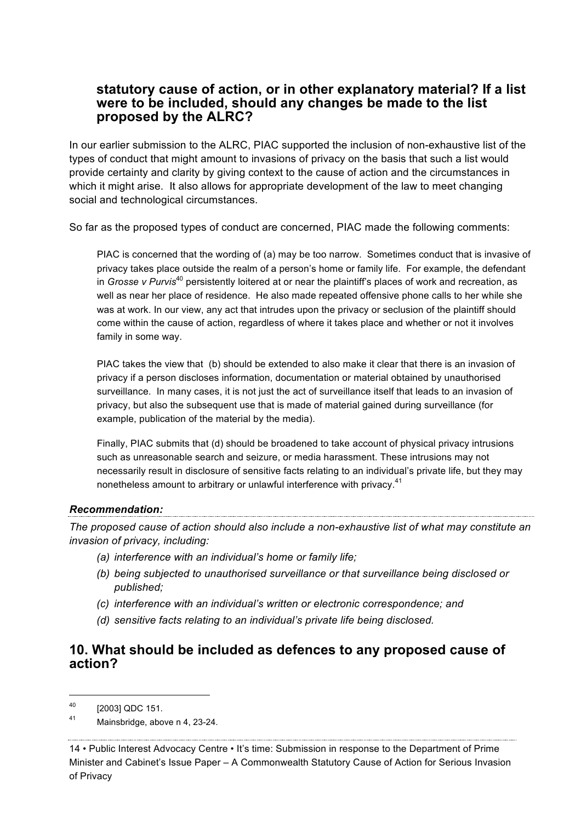### **statutory cause of action, or in other explanatory material? If a list were to be included, should any changes be made to the list proposed by the ALRC?**

In our earlier submission to the ALRC, PIAC supported the inclusion of non-exhaustive list of the types of conduct that might amount to invasions of privacy on the basis that such a list would provide certainty and clarity by giving context to the cause of action and the circumstances in which it might arise. It also allows for appropriate development of the law to meet changing social and technological circumstances.

So far as the proposed types of conduct are concerned, PIAC made the following comments:

PIAC is concerned that the wording of (a) may be too narrow. Sometimes conduct that is invasive of privacy takes place outside the realm of a person's home or family life. For example, the defendant in *Grosse v Purvis*<sup>40</sup> persistently loitered at or near the plaintiff's places of work and recreation, as well as near her place of residence. He also made repeated offensive phone calls to her while she was at work. In our view, any act that intrudes upon the privacy or seclusion of the plaintiff should come within the cause of action, regardless of where it takes place and whether or not it involves family in some way.

PIAC takes the view that (b) should be extended to also make it clear that there is an invasion of privacy if a person discloses information, documentation or material obtained by unauthorised surveillance. In many cases, it is not just the act of surveillance itself that leads to an invasion of privacy, but also the subsequent use that is made of material gained during surveillance (for example, publication of the material by the media).

Finally, PIAC submits that (d) should be broadened to take account of physical privacy intrusions such as unreasonable search and seizure, or media harassment. These intrusions may not necessarily result in disclosure of sensitive facts relating to an individual's private life, but they may nonetheless amount to arbitrary or unlawful interference with privacy.<sup>41</sup>

*Recommendation: The proposed cause of action should also include a non-exhaustive list of what may constitute an invasion of privacy, including:*

- *(a) interference with an individual's home or family life;*
- *(b) being subjected to unauthorised surveillance or that surveillance being disclosed or published;*
- *(c) interference with an individual's written or electronic correspondence; and*
- *(d) sensitive facts relating to an individual's private life being disclosed.*

### **10. What should be included as defences to any proposed cause of action?**

14 • Public Interest Advocacy Centre • It's time: Submission in response to the Department of Prime

 <sup>40</sup> [2003] QDC 151.

<sup>41</sup> Mainsbridge, above n 4, 23-24.

Minister and Cabinet's Issue Paper – A Commonwealth Statutory Cause of Action for Serious Invasion of Privacy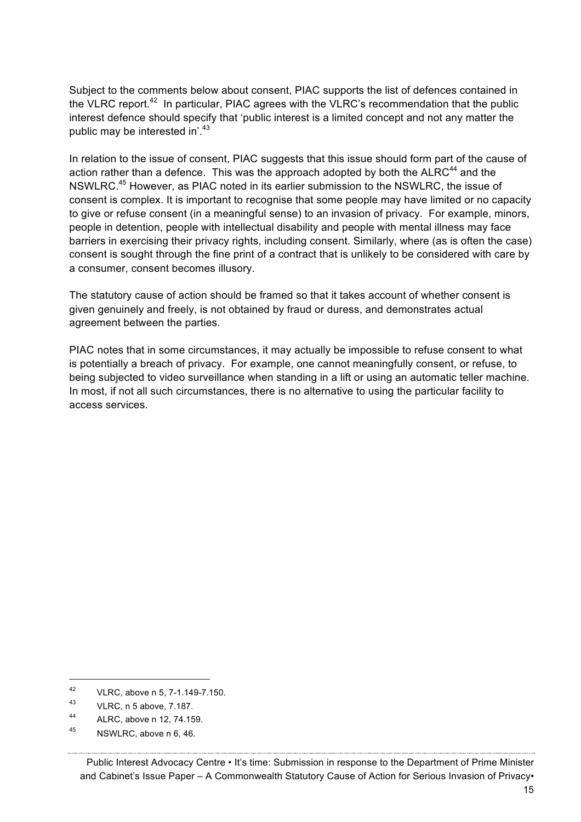Subject to the comments below about consent, PIAC supports the list of defences contained in the VLRC report.<sup>42</sup> In particular, PIAC agrees with the VLRC's recommendation that the public interest defence should specify that 'public interest is a limited concept and not any matter the public may be interested in<sup>'.43</sup>

In relation to the issue of consent, PIAC suggests that this issue should form part of the cause of action rather than a defence. This was the approach adopted by both the ALRC<sup>44</sup> and the NSWLRC.<sup>45</sup> However, as PIAC noted in its earlier submission to the NSWLRC, the issue of consent is complex. It is important to recognise that some people may have limited or no capacity to give or refuse consent (in a meaningful sense) to an invasion of privacy. For example, minors, people in detention, people with intellectual disability and people with mental illness may face barriers in exercising their privacy rights, including consent. Similarly, where (as is often the case) consent is sought through the fine print of a contract that is unlikely to be considered with care by a consumer, consent becomes illusory.

The statutory cause of action should be framed so that it takes account of whether consent is given genuinely and freely, is not obtained by fraud or duress, and demonstrates actual agreement between the parties.

PIAC notes that in some circumstances, it may actually be impossible to refuse consent to what is potentially a breach of privacy. For example, one cannot meaningfully consent, or refuse, to being subjected to video surveillance when standing in a lift or using an automatic teller machine. In most, if not all such circumstances, there is no alternative to using the particular facility to access services.

 <sup>42</sup> VLRC, above n 5, 7-1.149-7.150.

<sup>43</sup> VLRC, n 5 above, 7.187.

<sup>44</sup> ALRC, above n 12, 74.159.

<sup>45</sup> NSWLRC, above n 6, 46.

Public Interest Advocacy Centre • It's time: Submission in response to the Department of Prime Minister and Cabinet's Issue Paper – A Commonwealth Statutory Cause of Action for Serious Invasion of Privacy•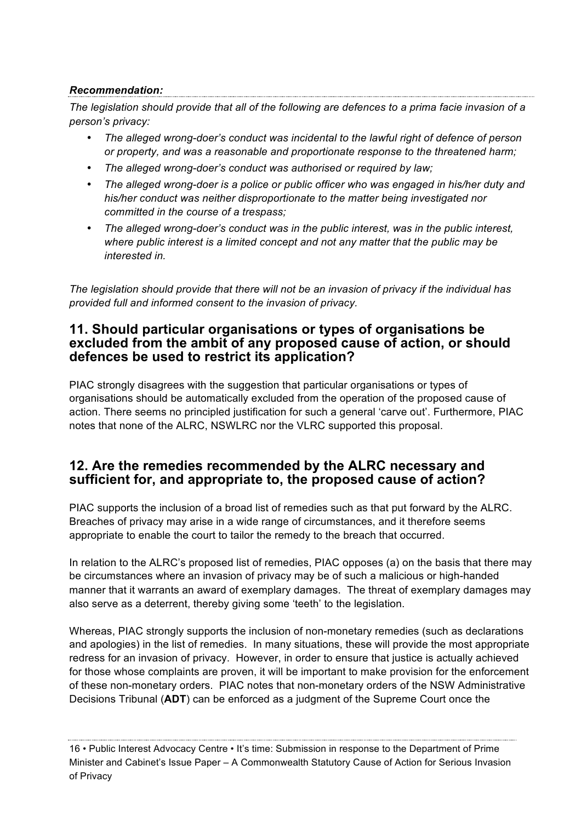### *Recommendation:*

*The legislation should provide that all of the following are defences to a prima facie invasion of a person's privacy:*

- *The alleged wrong-doer's conduct was incidental to the lawful right of defence of person or property, and was a reasonable and proportionate response to the threatened harm;*
- *The alleged wrong-doer's conduct was authorised or required by law;*
- *The alleged wrong-doer is a police or public officer who was engaged in his/her duty and his/her conduct was neither disproportionate to the matter being investigated nor committed in the course of a trespass;*
- *The alleged wrong-doer's conduct was in the public interest, was in the public interest, where public interest is a limited concept and not any matter that the public may be interested in.*

*The legislation should provide that there will not be an invasion of privacy if the individual has provided full and informed consent to the invasion of privacy.*

### **11. Should particular organisations or types of organisations be excluded from the ambit of any proposed cause of action, or should defences be used to restrict its application?**

PIAC strongly disagrees with the suggestion that particular organisations or types of organisations should be automatically excluded from the operation of the proposed cause of action. There seems no principled justification for such a general 'carve out'. Furthermore, PIAC notes that none of the ALRC, NSWLRC nor the VLRC supported this proposal.

### **12. Are the remedies recommended by the ALRC necessary and sufficient for, and appropriate to, the proposed cause of action?**

PIAC supports the inclusion of a broad list of remedies such as that put forward by the ALRC. Breaches of privacy may arise in a wide range of circumstances, and it therefore seems appropriate to enable the court to tailor the remedy to the breach that occurred.

In relation to the ALRC's proposed list of remedies, PIAC opposes (a) on the basis that there may be circumstances where an invasion of privacy may be of such a malicious or high-handed manner that it warrants an award of exemplary damages. The threat of exemplary damages may also serve as a deterrent, thereby giving some 'teeth' to the legislation.

Whereas, PIAC strongly supports the inclusion of non-monetary remedies (such as declarations and apologies) in the list of remedies. In many situations, these will provide the most appropriate redress for an invasion of privacy. However, in order to ensure that justice is actually achieved for those whose complaints are proven, it will be important to make provision for the enforcement of these non-monetary orders. PIAC notes that non-monetary orders of the NSW Administrative Decisions Tribunal (**ADT**) can be enforced as a judgment of the Supreme Court once the

16 • Public Interest Advocacy Centre • It's time: Submission in response to the Department of Prime Minister and Cabinet's Issue Paper – A Commonwealth Statutory Cause of Action for Serious Invasion of Privacy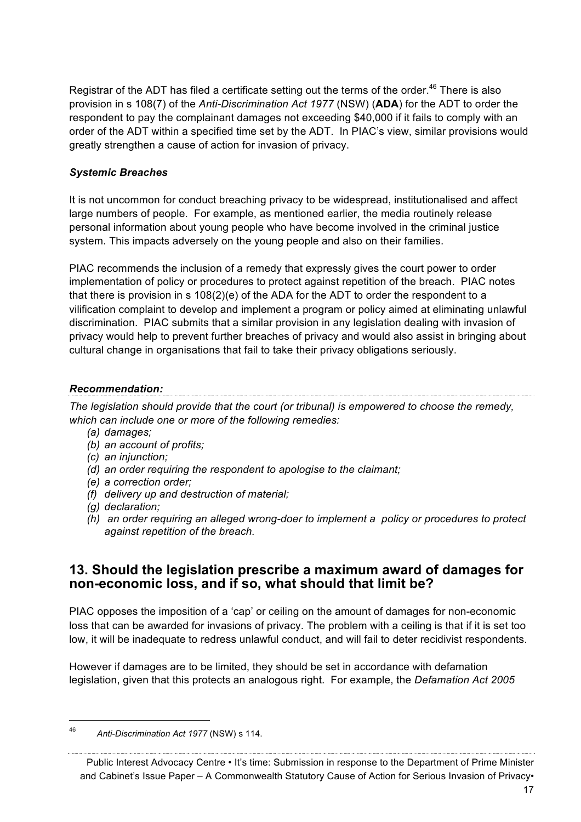Registrar of the ADT has filed a certificate setting out the terms of the order.<sup>46</sup> There is also provision in s 108(7) of the *Anti-Discrimination Act 1977* (NSW) (**ADA**) for the ADT to order the respondent to pay the complainant damages not exceeding \$40,000 if it fails to comply with an order of the ADT within a specified time set by the ADT. In PIAC's view, similar provisions would greatly strengthen a cause of action for invasion of privacy.

### *Systemic Breaches*

It is not uncommon for conduct breaching privacy to be widespread, institutionalised and affect large numbers of people. For example, as mentioned earlier, the media routinely release personal information about young people who have become involved in the criminal justice system. This impacts adversely on the young people and also on their families.

PIAC recommends the inclusion of a remedy that expressly gives the court power to order implementation of policy or procedures to protect against repetition of the breach. PIAC notes that there is provision in s 108(2)(e) of the ADA for the ADT to order the respondent to a vilification complaint to develop and implement a program or policy aimed at eliminating unlawful discrimination. PIAC submits that a similar provision in any legislation dealing with invasion of privacy would help to prevent further breaches of privacy and would also assist in bringing about cultural change in organisations that fail to take their privacy obligations seriously.

### *Recommendation:*

*The legislation should provide that the court (or tribunal) is empowered to choose the remedy, which can include one or more of the following remedies:*

- *(a) damages;*
- *(b) an account of profits;*
- *(c) an injunction;*
- *(d) an order requiring the respondent to apologise to the claimant;*
- *(e) a correction order;*
- *(f) delivery up and destruction of material;*
- *(g) declaration;*
- *(h) an order requiring an alleged wrong-doer to implement a policy or procedures to protect against repetition of the breach.*

### **13. Should the legislation prescribe a maximum award of damages for non-economic loss, and if so, what should that limit be?**

PIAC opposes the imposition of a 'cap' or ceiling on the amount of damages for non-economic loss that can be awarded for invasions of privacy. The problem with a ceiling is that if it is set too low, it will be inadequate to redress unlawful conduct, and will fail to deter recidivist respondents.

However if damages are to be limited, they should be set in accordance with defamation legislation, given that this protects an analogous right. For example, the *Defamation Act 2005* 

 <sup>46</sup> *Anti-Discrimination Act 1977* (NSW) s 114.

Public Interest Advocacy Centre • It's time: Submission in response to the Department of Prime Minister and Cabinet's Issue Paper – A Commonwealth Statutory Cause of Action for Serious Invasion of Privacy•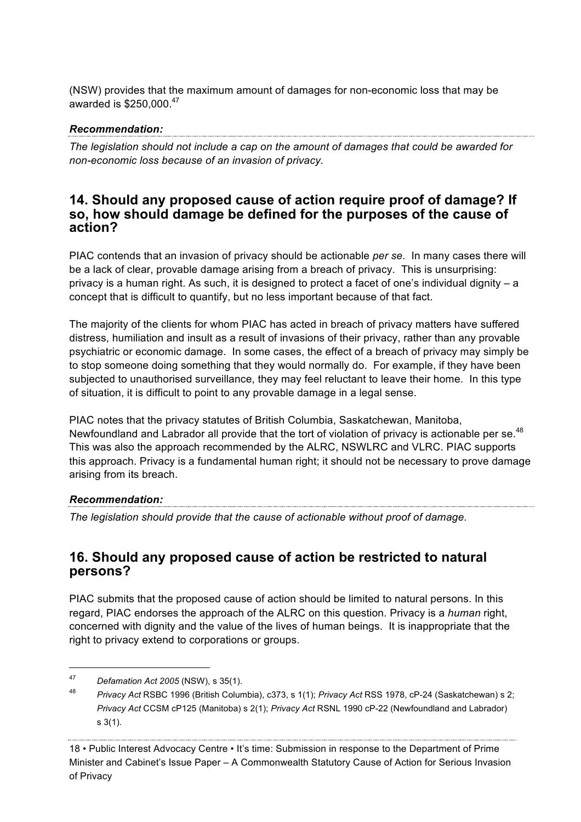(NSW) provides that the maximum amount of damages for non-economic loss that may be awarded is  $$250,000.<sup>47</sup>$ 

*Recommendation: The legislation should not include a cap on the amount of damages that could be awarded for non-economic loss because of an invasion of privacy.*

### **14. Should any proposed cause of action require proof of damage? If so, how should damage be defined for the purposes of the cause of action?**

PIAC contends that an invasion of privacy should be actionable *per se*. In many cases there will be a lack of clear, provable damage arising from a breach of privacy. This is unsurprising: privacy is a human right. As such, it is designed to protect a facet of one's individual dignity – a concept that is difficult to quantify, but no less important because of that fact.

The majority of the clients for whom PIAC has acted in breach of privacy matters have suffered distress, humiliation and insult as a result of invasions of their privacy, rather than any provable psychiatric or economic damage. In some cases, the effect of a breach of privacy may simply be to stop someone doing something that they would normally do. For example, if they have been subjected to unauthorised surveillance, they may feel reluctant to leave their home. In this type of situation, it is difficult to point to any provable damage in a legal sense.

PIAC notes that the privacy statutes of British Columbia, Saskatchewan, Manitoba, Newfoundland and Labrador all provide that the tort of violation of privacy is actionable per se.<sup>48</sup> This was also the approach recommended by the ALRC, NSWLRC and VLRC. PIAC supports this approach. Privacy is a fundamental human right; it should not be necessary to prove damage arising from its breach.

*Recommendation: The legislation should provide that the cause of actionable without proof of damage.*

### **16. Should any proposed cause of action be restricted to natural persons?**

PIAC submits that the proposed cause of action should be limited to natural persons. In this regard, PIAC endorses the approach of the ALRC on this question. Privacy is a *human* right, concerned with dignity and the value of the lives of human beings. It is inappropriate that the right to privacy extend to corporations or groups.

 <sup>47</sup> *Defamation Act 2005* (NSW), s 35(1).

<sup>48</sup> *Privacy Act* RSBC 1996 (British Columbia), c373, s 1(1); *Privacy Act* RSS 1978, cP-24 (Saskatchewan) s 2; *Privacy Act* CCSM cP125 (Manitoba) s 2(1); *Privacy Act* RSNL 1990 cP-22 (Newfoundland and Labrador) s 3(1).

<sup>18</sup> • Public Interest Advocacy Centre • It's time: Submission in response to the Department of Prime Minister and Cabinet's Issue Paper – A Commonwealth Statutory Cause of Action for Serious Invasion of Privacy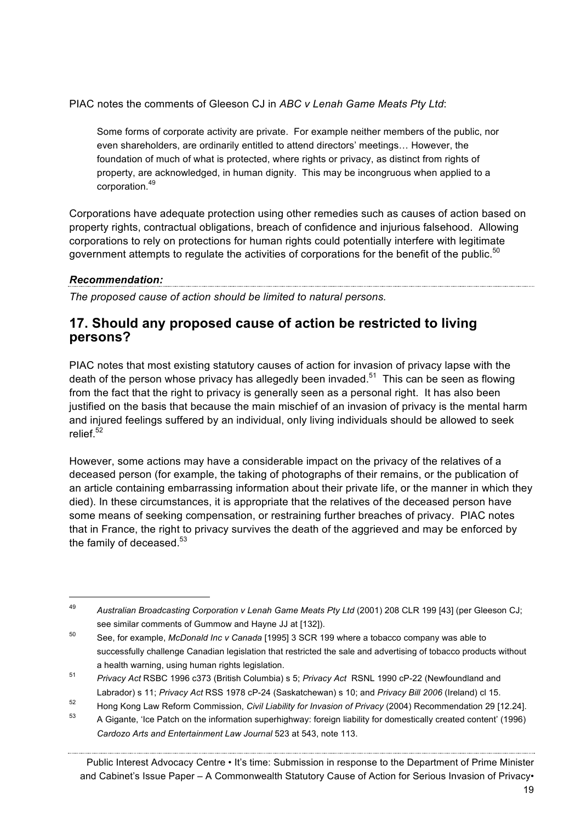PIAC notes the comments of Gleeson CJ in *ABC v Lenah Game Meats Pty Ltd*:

Some forms of corporate activity are private. For example neither members of the public, nor even shareholders, are ordinarily entitled to attend directors' meetings... However, the foundation of much of what is protected, where rights or privacy, as distinct from rights of property, are acknowledged, in human dignity. This may be incongruous when applied to a corporation.<sup>49</sup>

Corporations have adequate protection using other remedies such as causes of action based on property rights, contractual obligations, breach of confidence and injurious falsehood. Allowing corporations to rely on protections for human rights could potentially interfere with legitimate government attempts to regulate the activities of corporations for the benefit of the public.<sup>50</sup>

### *Recommendation:*

*The proposed cause of action should be limited to natural persons.*

### **17. Should any proposed cause of action be restricted to living persons?**

PIAC notes that most existing statutory causes of action for invasion of privacy lapse with the death of the person whose privacy has allegedly been invaded.<sup>51</sup> This can be seen as flowing from the fact that the right to privacy is generally seen as a personal right. It has also been justified on the basis that because the main mischief of an invasion of privacy is the mental harm and injured feelings suffered by an individual, only living individuals should be allowed to seek relief $52$ 

However, some actions may have a considerable impact on the privacy of the relatives of a deceased person (for example, the taking of photographs of their remains, or the publication of an article containing embarrassing information about their private life, or the manner in which they died). In these circumstances, it is appropriate that the relatives of the deceased person have some means of seeking compensation, or restraining further breaches of privacy. PIAC notes that in France, the right to privacy survives the death of the aggrieved and may be enforced by the family of deceased. $53$ 

<sup>&</sup>lt;sup>49</sup> *Australian Broadcasting Corporation v Lenah Game Meats Pty Ltd (2001) 208 CLR 199 [43] (per Gleeson CJ;* see similar comments of Gummow and Hayne JJ at [132]).

<sup>50</sup> See, for example, *McDonald Inc v Canada* [1995] 3 SCR 199 where a tobacco company was able to successfully challenge Canadian legislation that restricted the sale and advertising of tobacco products without a health warning, using human rights legislation.

<sup>51</sup> *Privacy Act* RSBC 1996 c373 (British Columbia) s 5; *Privacy Act* RSNL 1990 cP-22 (Newfoundland and Labrador) s 11; *Privacy Act* RSS 1978 cP-24 (Saskatchewan) s 10; and *Privacy Bill 2006* (Ireland) cl 15.

<sup>52</sup> Hong Kong Law Reform Commission, *Civil Liability for Invasion of Privacy* (2004) Recommendation 29 [12.24].

 $53$  A Gigante, 'Ice Patch on the information superhighway: foreign liability for domestically created content' (1996) *Cardozo Arts and Entertainment Law Journal* 523 at 543, note 113.

Public Interest Advocacy Centre • It's time: Submission in response to the Department of Prime Minister and Cabinet's Issue Paper – A Commonwealth Statutory Cause of Action for Serious Invasion of Privacy•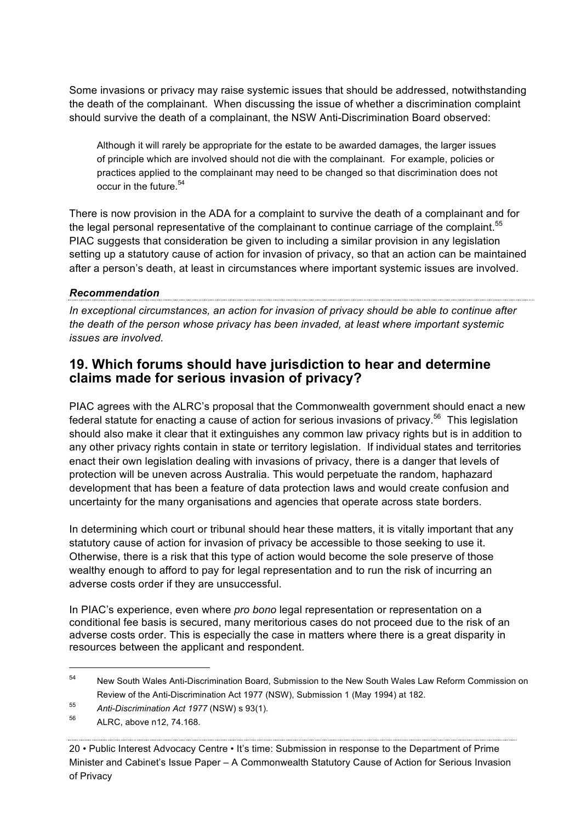Some invasions or privacy may raise systemic issues that should be addressed, notwithstanding the death of the complainant. When discussing the issue of whether a discrimination complaint should survive the death of a complainant, the NSW Anti-Discrimination Board observed:

Although it will rarely be appropriate for the estate to be awarded damages, the larger issues of principle which are involved should not die with the complainant. For example, policies or practices applied to the complainant may need to be changed so that discrimination does not occur in the future.<sup>54</sup>

There is now provision in the ADA for a complaint to survive the death of a complainant and for the legal personal representative of the complainant to continue carriage of the complaint.<sup>55</sup> PIAC suggests that consideration be given to including a similar provision in any legislation setting up a statutory cause of action for invasion of privacy, so that an action can be maintained after a person's death, at least in circumstances where important systemic issues are involved.

### *Recommendation*

*In exceptional circumstances, an action for invasion of privacy should be able to continue after the death of the person whose privacy has been invaded, at least where important systemic issues are involved.*

### **19. Which forums should have jurisdiction to hear and determine claims made for serious invasion of privacy?**

PIAC agrees with the ALRC's proposal that the Commonwealth government should enact a new federal statute for enacting a cause of action for serious invasions of privacy.<sup>56</sup> This legislation should also make it clear that it extinguishes any common law privacy rights but is in addition to any other privacy rights contain in state or territory legislation. If individual states and territories enact their own legislation dealing with invasions of privacy, there is a danger that levels of protection will be uneven across Australia. This would perpetuate the random, haphazard development that has been a feature of data protection laws and would create confusion and uncertainty for the many organisations and agencies that operate across state borders.

In determining which court or tribunal should hear these matters, it is vitally important that any statutory cause of action for invasion of privacy be accessible to those seeking to use it. Otherwise, there is a risk that this type of action would become the sole preserve of those wealthy enough to afford to pay for legal representation and to run the risk of incurring an adverse costs order if they are unsuccessful.

In PIAC's experience, even where *pro bono* legal representation or representation on a conditional fee basis is secured, many meritorious cases do not proceed due to the risk of an adverse costs order. This is especially the case in matters where there is a great disparity in resources between the applicant and respondent.

20 • Public Interest Advocacy Centre • It's time: Submission in response to the Department of Prime Minister and Cabinet's Issue Paper – A Commonwealth Statutory Cause of Action for Serious Invasion of Privacy

 <sup>54</sup> New South Wales Anti-Discrimination Board, Submission to the New South Wales Law Reform Commission on Review of the Anti-Discrimination Act 1977 (NSW), Submission 1 (May 1994) at 182.

<sup>55</sup> *Anti-Discrimination Act 1977* (NSW) s 93(1).

<sup>56</sup> ALRC, above n12, 74.168.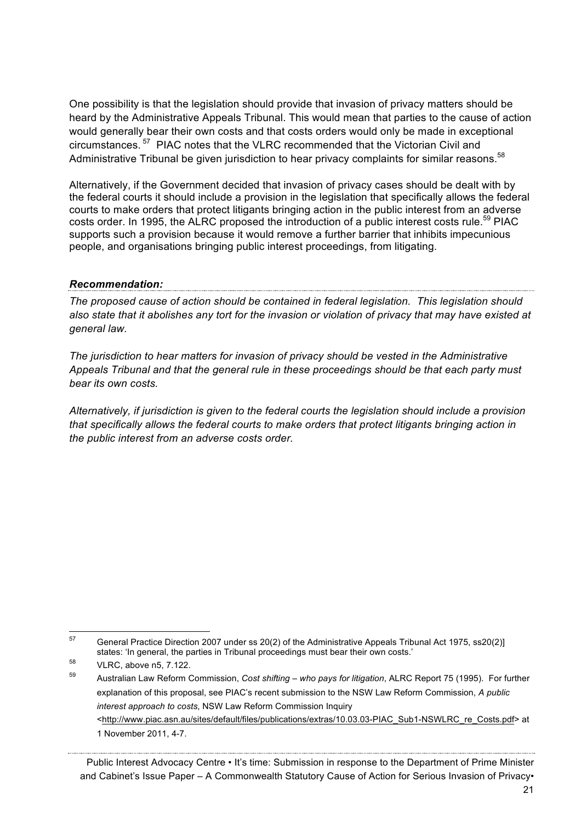One possibility is that the legislation should provide that invasion of privacy matters should be heard by the Administrative Appeals Tribunal. This would mean that parties to the cause of action would generally bear their own costs and that costs orders would only be made in exceptional circumstances. <sup>57</sup> PIAC notes that the VLRC recommended that the Victorian Civil and Administrative Tribunal be given jurisdiction to hear privacy complaints for similar reasons.<sup>58</sup>

Alternatively, if the Government decided that invasion of privacy cases should be dealt with by the federal courts it should include a provision in the legislation that specifically allows the federal courts to make orders that protect litigants bringing action in the public interest from an adverse costs order. In 1995, the ALRC proposed the introduction of a public interest costs rule.<sup>59</sup> PIAC supports such a provision because it would remove a further barrier that inhibits impecunious people, and organisations bringing public interest proceedings, from litigating.

### *Recommendation:*

*The proposed cause of action should be contained in federal legislation. This legislation should also state that it abolishes any tort for the invasion or violation of privacy that may have existed at general law.*

*The jurisdiction to hear matters for invasion of privacy should be vested in the Administrative Appeals Tribunal and that the general rule in these proceedings should be that each party must bear its own costs.*

*Alternatively, if jurisdiction is given to the federal courts the legislation should include a provision that specifically allows the federal courts to make orders that protect litigants bringing action in the public interest from an adverse costs order.*

 $57$  General Practice Direction 2007 under ss 20(2) of the Administrative Appeals Tribunal Act 1975, ss20(2)] states: 'In general, the parties in Tribunal proceedings must bear their own costs.'

<sup>58</sup> VLRC, above n5, 7.122.

<sup>59</sup> Australian Law Reform Commission, *Cost shifting – who pays for litigation*, ALRC Report 75 (1995). For further explanation of this proposal, see PIAC's recent submission to the NSW Law Reform Commission, *A public interest approach to costs*, NSW Law Reform Commission Inquiry <http://www.piac.asn.au/sites/default/files/publications/extras/10.03.03-PIAC\_Sub1-NSWLRC\_re\_Costs.pdf> at 1 November 2011, 4-7.

Public Interest Advocacy Centre • It's time: Submission in response to the Department of Prime Minister and Cabinet's Issue Paper – A Commonwealth Statutory Cause of Action for Serious Invasion of Privacy•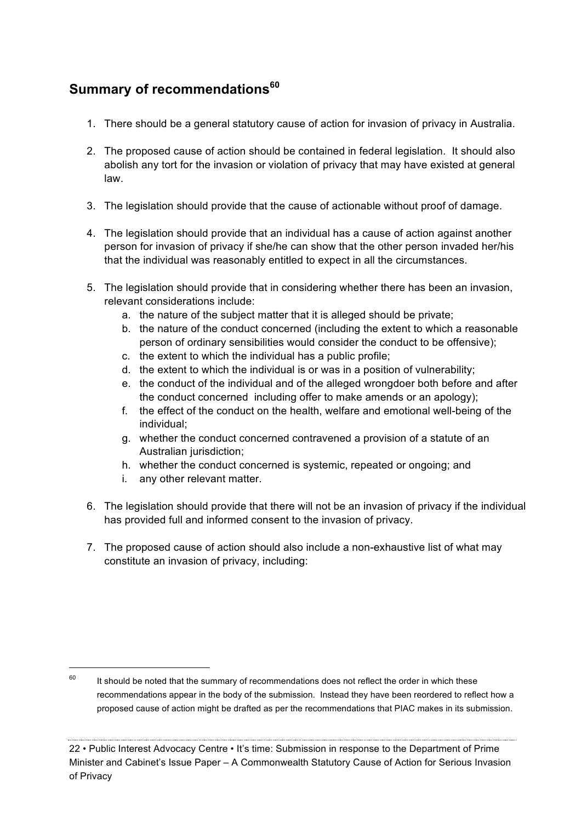# **Summary of recommendations<sup>60</sup>**

- 1. There should be a general statutory cause of action for invasion of privacy in Australia.
- 2. The proposed cause of action should be contained in federal legislation. It should also abolish any tort for the invasion or violation of privacy that may have existed at general law.
- 3. The legislation should provide that the cause of actionable without proof of damage.
- 4. The legislation should provide that an individual has a cause of action against another person for invasion of privacy if she/he can show that the other person invaded her/his that the individual was reasonably entitled to expect in all the circumstances.
- 5. The legislation should provide that in considering whether there has been an invasion, relevant considerations include:
	- a. the nature of the subject matter that it is alleged should be private;
	- b. the nature of the conduct concerned (including the extent to which a reasonable person of ordinary sensibilities would consider the conduct to be offensive);
	- c. the extent to which the individual has a public profile;
	- d. the extent to which the individual is or was in a position of vulnerability;
	- e. the conduct of the individual and of the alleged wrongdoer both before and after the conduct concerned including offer to make amends or an apology);
	- f. the effect of the conduct on the health, welfare and emotional well-being of the individual;
	- g. whether the conduct concerned contravened a provision of a statute of an Australian jurisdiction;
	- h. whether the conduct concerned is systemic, repeated or ongoing; and
	- i. any other relevant matter.
- 6. The legislation should provide that there will not be an invasion of privacy if the individual has provided full and informed consent to the invasion of privacy.
- 7. The proposed cause of action should also include a non-exhaustive list of what may constitute an invasion of privacy, including:

 $60$  It should be noted that the summary of recommendations does not reflect the order in which these recommendations appear in the body of the submission. Instead they have been reordered to reflect how a proposed cause of action might be drafted as per the recommendations that PIAC makes in its submission.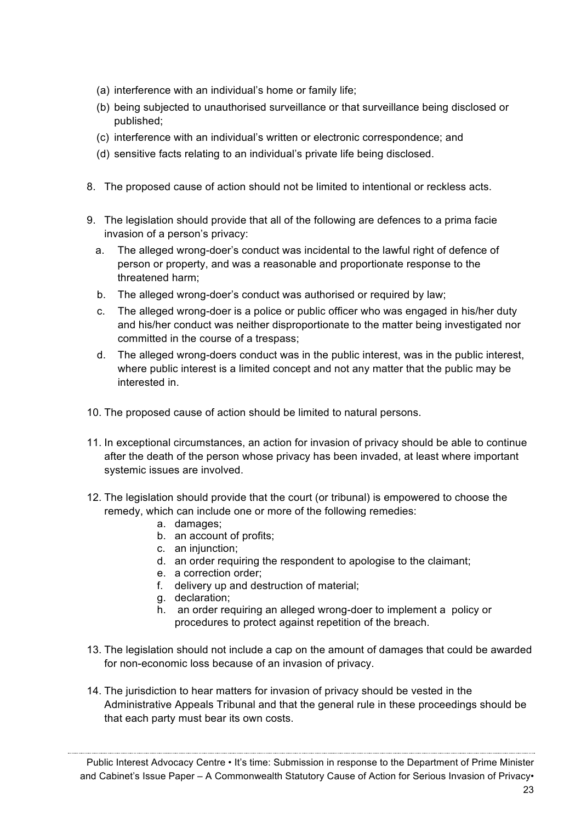- (a) interference with an individual's home or family life;
- (b) being subjected to unauthorised surveillance or that surveillance being disclosed or published;
- (c) interference with an individual's written or electronic correspondence; and
- (d) sensitive facts relating to an individual's private life being disclosed.
- 8. The proposed cause of action should not be limited to intentional or reckless acts.
- 9. The legislation should provide that all of the following are defences to a prima facie invasion of a person's privacy:
	- a. The alleged wrong-doer's conduct was incidental to the lawful right of defence of person or property, and was a reasonable and proportionate response to the threatened harm;
	- b. The alleged wrong-doer's conduct was authorised or required by law;
	- c. The alleged wrong-doer is a police or public officer who was engaged in his/her duty and his/her conduct was neither disproportionate to the matter being investigated nor committed in the course of a trespass;
	- d. The alleged wrong-doers conduct was in the public interest, was in the public interest, where public interest is a limited concept and not any matter that the public may be interested in.
- 10. The proposed cause of action should be limited to natural persons.
- 11. In exceptional circumstances, an action for invasion of privacy should be able to continue after the death of the person whose privacy has been invaded, at least where important systemic issues are involved.
- 12. The legislation should provide that the court (or tribunal) is empowered to choose the remedy, which can include one or more of the following remedies:
	- a. damages;
	- b. an account of profits;
	- c. an injunction;
	- d. an order requiring the respondent to apologise to the claimant;
	- e. a correction order;
	- f. delivery up and destruction of material;
	- g. declaration;
	- h. an order requiring an alleged wrong-doer to implement a policy or procedures to protect against repetition of the breach.
- 13. The legislation should not include a cap on the amount of damages that could be awarded for non-economic loss because of an invasion of privacy.
- 14. The jurisdiction to hear matters for invasion of privacy should be vested in the Administrative Appeals Tribunal and that the general rule in these proceedings should be that each party must bear its own costs.

Public Interest Advocacy Centre • It's time: Submission in response to the Department of Prime Minister and Cabinet's Issue Paper – A Commonwealth Statutory Cause of Action for Serious Invasion of Privacy•